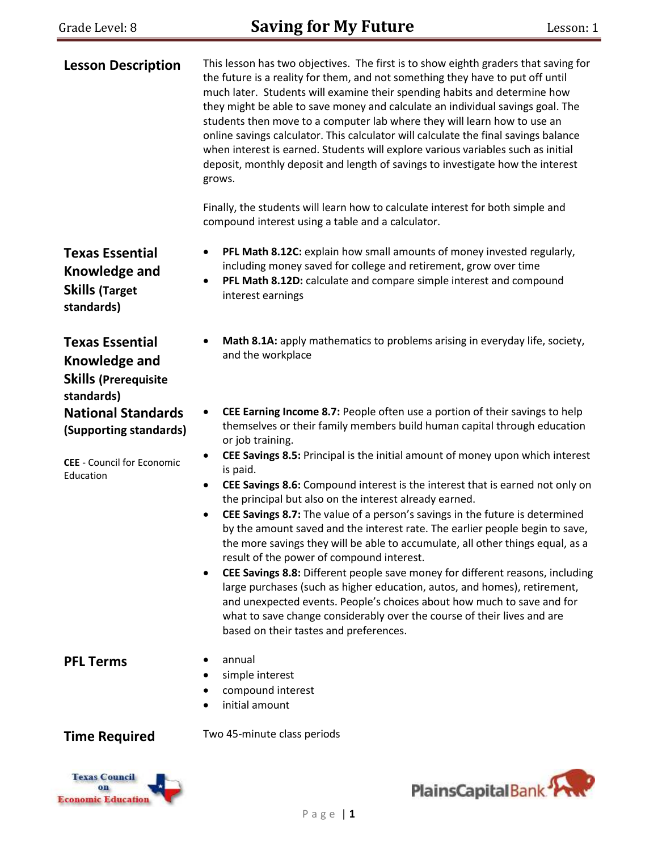| <b>Lesson Description</b>                                                                   | This lesson has two objectives. The first is to show eighth graders that saving for<br>the future is a reality for them, and not something they have to put off until<br>much later. Students will examine their spending habits and determine how<br>they might be able to save money and calculate an individual savings goal. The<br>students then move to a computer lab where they will learn how to use an<br>online savings calculator. This calculator will calculate the final savings balance<br>when interest is earned. Students will explore various variables such as initial<br>deposit, monthly deposit and length of savings to investigate how the interest<br>grows.<br>Finally, the students will learn how to calculate interest for both simple and |
|---------------------------------------------------------------------------------------------|---------------------------------------------------------------------------------------------------------------------------------------------------------------------------------------------------------------------------------------------------------------------------------------------------------------------------------------------------------------------------------------------------------------------------------------------------------------------------------------------------------------------------------------------------------------------------------------------------------------------------------------------------------------------------------------------------------------------------------------------------------------------------|
|                                                                                             | compound interest using a table and a calculator.                                                                                                                                                                                                                                                                                                                                                                                                                                                                                                                                                                                                                                                                                                                         |
| <b>Texas Essential</b><br><b>Knowledge and</b><br><b>Skills (Target</b><br>standards)       | PFL Math 8.12C: explain how small amounts of money invested regularly,<br>$\bullet$<br>including money saved for college and retirement, grow over time<br>PFL Math 8.12D: calculate and compare simple interest and compound<br>$\bullet$<br>interest earnings                                                                                                                                                                                                                                                                                                                                                                                                                                                                                                           |
| <b>Texas Essential</b><br><b>Knowledge and</b><br><b>Skills (Prerequisite</b><br>standards) | Math 8.1A: apply mathematics to problems arising in everyday life, society,<br>٠<br>and the workplace                                                                                                                                                                                                                                                                                                                                                                                                                                                                                                                                                                                                                                                                     |
| <b>National Standards</b><br>(Supporting standards)                                         | CEE Earning Income 8.7: People often use a portion of their savings to help<br>$\bullet$<br>themselves or their family members build human capital through education<br>or job training.                                                                                                                                                                                                                                                                                                                                                                                                                                                                                                                                                                                  |
| <b>CEE</b> - Council for Economic<br>Education                                              | CEE Savings 8.5: Principal is the initial amount of money upon which interest<br>$\bullet$<br>is paid.<br>CEE Savings 8.6: Compound interest is the interest that is earned not only on<br>٠<br>the principal but also on the interest already earned.                                                                                                                                                                                                                                                                                                                                                                                                                                                                                                                    |
|                                                                                             | CEE Savings 8.7: The value of a person's savings in the future is determined<br>$\bullet$<br>by the amount saved and the interest rate. The earlier people begin to save,<br>the more savings they will be able to accumulate, all other things equal, as a<br>result of the power of compound interest.                                                                                                                                                                                                                                                                                                                                                                                                                                                                  |
|                                                                                             | CEE Savings 8.8: Different people save money for different reasons, including<br>$\bullet$<br>large purchases (such as higher education, autos, and homes), retirement,<br>and unexpected events. People's choices about how much to save and for<br>what to save change considerably over the course of their lives and are<br>based on their tastes and preferences.                                                                                                                                                                                                                                                                                                                                                                                                    |
| <b>PFL Terms</b>                                                                            | annual<br>simple interest<br>compound interest<br>initial amount                                                                                                                                                                                                                                                                                                                                                                                                                                                                                                                                                                                                                                                                                                          |
| <b>Time Required</b>                                                                        | Two 45-minute class periods                                                                                                                                                                                                                                                                                                                                                                                                                                                                                                                                                                                                                                                                                                                                               |



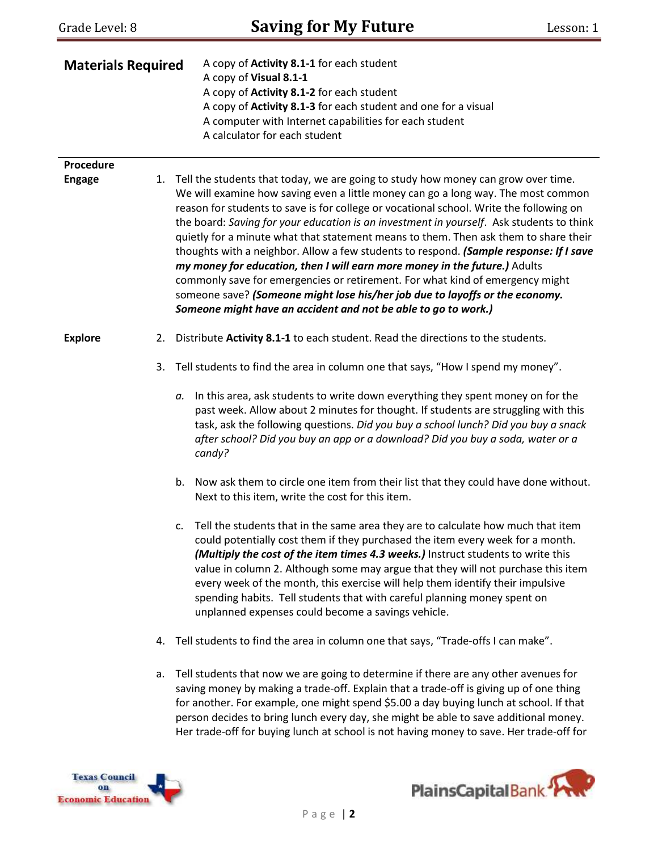| Grade Level: 8            |    | <b>Saving for My Future</b>                                                                                                                                                                                                                                                                                                                                                                                                                                                                                                                                                                                                                                                                                                                                                                                                                                      | Lesson: 1 |
|---------------------------|----|------------------------------------------------------------------------------------------------------------------------------------------------------------------------------------------------------------------------------------------------------------------------------------------------------------------------------------------------------------------------------------------------------------------------------------------------------------------------------------------------------------------------------------------------------------------------------------------------------------------------------------------------------------------------------------------------------------------------------------------------------------------------------------------------------------------------------------------------------------------|-----------|
| <b>Materials Required</b> |    | A copy of Activity 8.1-1 for each student<br>A copy of Visual 8.1-1<br>A copy of Activity 8.1-2 for each student<br>A copy of Activity 8.1-3 for each student and one for a visual<br>A computer with Internet capabilities for each student<br>A calculator for each student                                                                                                                                                                                                                                                                                                                                                                                                                                                                                                                                                                                    |           |
| Procedure                 |    |                                                                                                                                                                                                                                                                                                                                                                                                                                                                                                                                                                                                                                                                                                                                                                                                                                                                  |           |
| <b>Engage</b>             | 1. | Tell the students that today, we are going to study how money can grow over time.<br>We will examine how saving even a little money can go a long way. The most common<br>reason for students to save is for college or vocational school. Write the following on<br>the board: Saving for your education is an investment in yourself. Ask students to think<br>quietly for a minute what that statement means to them. Then ask them to share their<br>thoughts with a neighbor. Allow a few students to respond. (Sample response: If I save<br>my money for education, then I will earn more money in the future.) Adults<br>commonly save for emergencies or retirement. For what kind of emergency might<br>someone save? (Someone might lose his/her job due to layoffs or the economy.<br>Someone might have an accident and not be able to go to work.) |           |
| <b>Explore</b>            | 2. | Distribute Activity 8.1-1 to each student. Read the directions to the students.                                                                                                                                                                                                                                                                                                                                                                                                                                                                                                                                                                                                                                                                                                                                                                                  |           |
|                           | 3. | Tell students to find the area in column one that says, "How I spend my money".                                                                                                                                                                                                                                                                                                                                                                                                                                                                                                                                                                                                                                                                                                                                                                                  |           |
|                           |    | In this area, ask students to write down everything they spent money on for the<br>а.<br>past week. Allow about 2 minutes for thought. If students are struggling with this<br>task, ask the following questions. Did you buy a school lunch? Did you buy a snack<br>after school? Did you buy an app or a download? Did you buy a soda, water or a<br>candy?                                                                                                                                                                                                                                                                                                                                                                                                                                                                                                    |           |
|                           |    | b. Now ask them to circle one item from their list that they could have done without.<br>Next to this item, write the cost for this item.                                                                                                                                                                                                                                                                                                                                                                                                                                                                                                                                                                                                                                                                                                                        |           |
|                           |    | Tell the students that in the same area they are to calculate how much that item<br>c.<br>could potentially cost them if they purchased the item every week for a month.<br>(Multiply the cost of the item times 4.3 weeks.) Instruct students to write this<br>value in column 2. Although some may argue that they will not purchase this item<br>every week of the month, this exercise will help them identify their impulsive<br>spending habits. Tell students that with careful planning money spent on<br>unplanned expenses could become a savings vehicle.                                                                                                                                                                                                                                                                                             |           |
|                           | 4. | Tell students to find the area in column one that says, "Trade-offs I can make".                                                                                                                                                                                                                                                                                                                                                                                                                                                                                                                                                                                                                                                                                                                                                                                 |           |
|                           | a. | Tell students that now we are going to determine if there are any other avenues for<br>saving money by making a trade-off. Explain that a trade-off is giving up of one thing<br>for another. For example, one might spend \$5.00 a day buying lunch at school. If that                                                                                                                                                                                                                                                                                                                                                                                                                                                                                                                                                                                          |           |





person decides to bring lunch every day, she might be able to save additional money. Her trade-off for buying lunch at school is not having money to save. Her trade-off for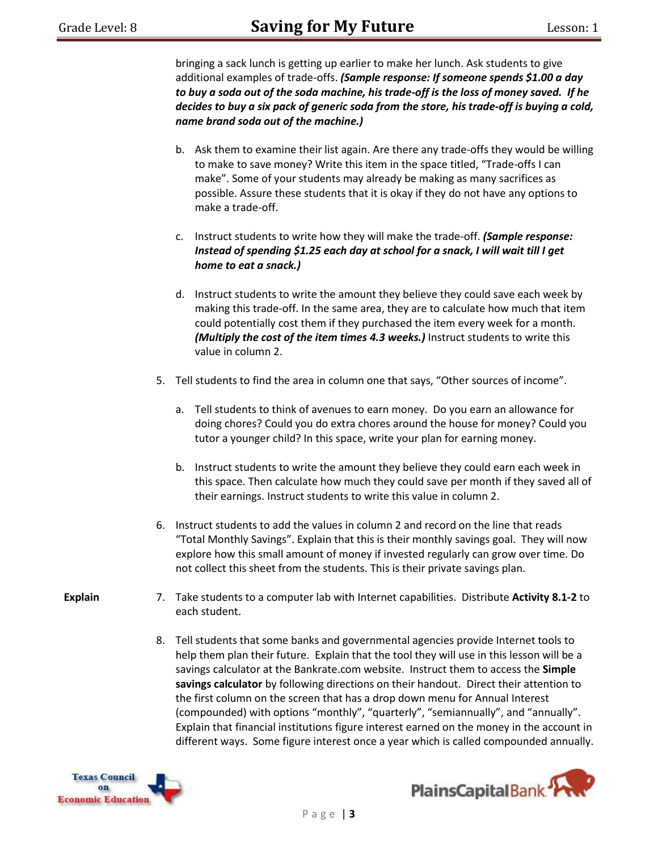bringing a sack lunch is getting up earlier to make her lunch. Ask students to give additional examples of trade-offs. *(Sample response: If someone spends \$1.00 a day to buy a soda out of the soda machine, his trade-off is the loss of money saved. If he decides to buy a six pack of generic soda from the store, his trade-off is buying a cold, name brand soda out of the machine.)*

- b. Ask them to examine their list again. Are there any trade-offs they would be willing to make to save money? Write this item in the space titled, "Trade-offs I can make". Some of your students may already be making as many sacrifices as possible. Assure these students that it is okay if they do not have any options to make a trade-off.
- c. Instruct students to write how they will make the trade-off. *(Sample response: Instead of spending \$1.25 each day at school for a snack, I will wait till I get home to eat a snack.)*
- d. Instruct students to write the amount they believe they could save each week by making this trade-off. In the same area, they are to calculate how much that item could potentially cost them if they purchased the item every week for a month. *(Multiply the cost of the item times 4.3 weeks.)* Instruct students to write this value in column 2.
- 5. Tell students to find the area in column one that says, "Other sources of income".
	- a. Tell students to think of avenues to earn money. Do you earn an allowance for doing chores? Could you do extra chores around the house for money? Could you tutor a younger child? In this space, write your plan for earning money.
	- b. Instruct students to write the amount they believe they could earn each week in this space. Then calculate how much they could save per month if they saved all of their earnings. Instruct students to write this value in column 2.
- 6. Instruct students to add the values in column 2 and record on the line that reads "Total Monthly Savings". Explain that this is their monthly savings goal. They will now explore how this small amount of money if invested regularly can grow over time. Do not collect this sheet from the students. This is their private savings plan.
- **Explain**
- 7. Take students to a computer lab with Internet capabilities. Distribute **Activity 8.1-2** to each student.
	- 8. Tell students that some banks and governmental agencies provide Internet tools to help them plan their future. Explain that the tool they will use in this lesson will be a savings calculator at the Bankrate.com website. Instruct them to access the **Simple savings calculator** by following directions on their handout. Direct their attention to the first column on the screen that has a drop down menu for Annual Interest (compounded) with options "monthly", "quarterly", "semiannually", and "annually". Explain that financial institutions figure interest earned on the money in the account in different ways. Some figure interest once a year which is called compounded annually.



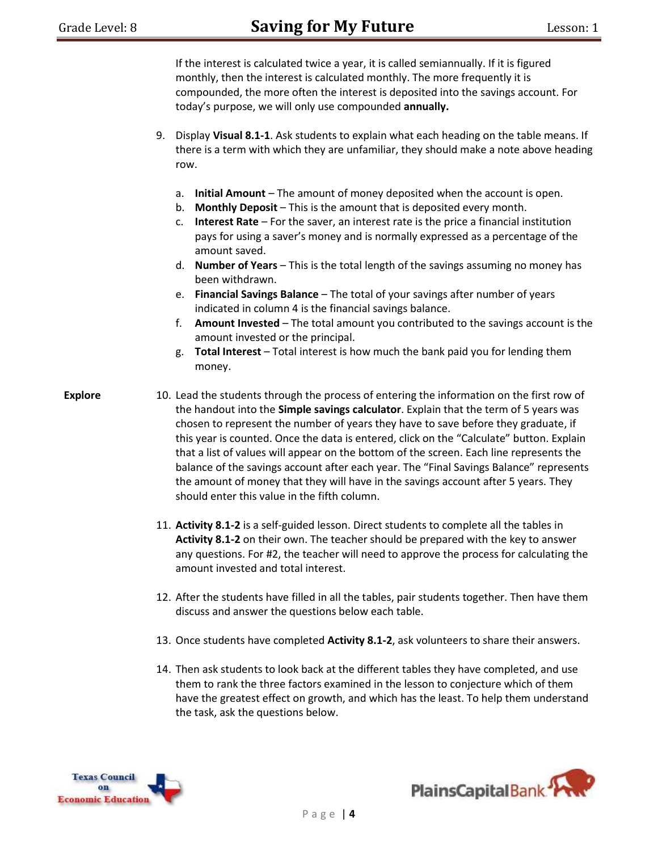|                | 9. | If the interest is calculated twice a year, it is called semiannually. If it is figured<br>monthly, then the interest is calculated monthly. The more frequently it is<br>compounded, the more often the interest is deposited into the savings account. For<br>today's purpose, we will only use compounded annually.<br>Display Visual 8.1-1. Ask students to explain what each heading on the table means. If<br>there is a term with which they are unfamiliar, they should make a note above heading<br>row.                                                                                                                                                                                                                                                                                                                                              |
|----------------|----|----------------------------------------------------------------------------------------------------------------------------------------------------------------------------------------------------------------------------------------------------------------------------------------------------------------------------------------------------------------------------------------------------------------------------------------------------------------------------------------------------------------------------------------------------------------------------------------------------------------------------------------------------------------------------------------------------------------------------------------------------------------------------------------------------------------------------------------------------------------|
|                |    | Initial Amount - The amount of money deposited when the account is open.<br>a.<br><b>Monthly Deposit</b> - This is the amount that is deposited every month.<br>b.<br>Interest Rate - For the saver, an interest rate is the price a financial institution<br>c.<br>pays for using a saver's money and is normally expressed as a percentage of the<br>amount saved.<br>d. Number of Years - This is the total length of the savings assuming no money has<br>been withdrawn.<br>Financial Savings Balance - The total of your savings after number of years<br>e.<br>indicated in column 4 is the financial savings balance.<br>Amount Invested - The total amount you contributed to the savings account is the<br>f.<br>amount invested or the principal.<br>Total Interest - Total interest is how much the bank paid you for lending them<br>g.<br>money. |
| <b>Explore</b> |    | 10. Lead the students through the process of entering the information on the first row of<br>the handout into the Simple savings calculator. Explain that the term of 5 years was<br>chosen to represent the number of years they have to save before they graduate, if<br>this year is counted. Once the data is entered, click on the "Calculate" button. Explain<br>that a list of values will appear on the bottom of the screen. Each line represents the<br>balance of the savings account after each year. The "Final Savings Balance" represents<br>the amount of money that they will have in the savings account after 5 years. They<br>should enter this value in the fifth column.                                                                                                                                                                 |
|                |    | 11. Activity 8.1-2 is a self-guided lesson. Direct students to complete all the tables in<br>Activity 8.1-2 on their own. The teacher should be prepared with the key to answer<br>any questions. For #2, the teacher will need to approve the process for calculating the<br>amount invested and total interest.                                                                                                                                                                                                                                                                                                                                                                                                                                                                                                                                              |
|                |    | 12. After the students have filled in all the tables, pair students together. Then have them<br>discuss and answer the questions below each table.                                                                                                                                                                                                                                                                                                                                                                                                                                                                                                                                                                                                                                                                                                             |
|                |    | 13. Once students have completed Activity 8.1-2, ask volunteers to share their answers.                                                                                                                                                                                                                                                                                                                                                                                                                                                                                                                                                                                                                                                                                                                                                                        |
|                |    | 14. Then ask students to look back at the different tables they have completed, and use<br>them to rank the three factors examined in the lesson to conjecture which of them<br>have the greatest effect on growth, and which has the least. To help them understand                                                                                                                                                                                                                                                                                                                                                                                                                                                                                                                                                                                           |





the task, ask the questions below.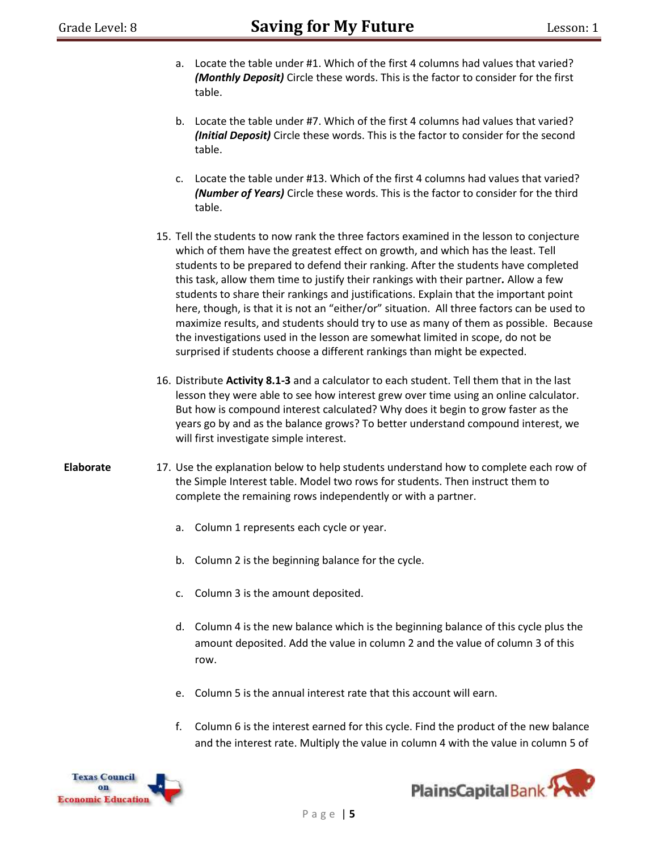- a. Locate the table under #1. Which of the first 4 columns had values that varied? *(Monthly Deposit)* Circle these words. This is the factor to consider for the first table.
- b. Locate the table under #7. Which of the first 4 columns had values that varied? *(Initial Deposit)* Circle these words. This is the factor to consider for the second table.
- c. Locate the table under #13. Which of the first 4 columns had values that varied? *(Number of Years)* Circle these words. This is the factor to consider for the third table.
- 15. Tell the students to now rank the three factors examined in the lesson to conjecture which of them have the greatest effect on growth, and which has the least. Tell students to be prepared to defend their ranking. After the students have completed this task, allow them time to justify their rankings with their partner*.* Allow a few students to share their rankings and justifications. Explain that the important point here, though, is that it is not an "either/or" situation. All three factors can be used to maximize results, and students should try to use as many of them as possible. Because the investigations used in the lesson are somewhat limited in scope, do not be surprised if students choose a different rankings than might be expected.
- 16. Distribute **Activity 8.1-3** and a calculator to each student. Tell them that in the last lesson they were able to see how interest grew over time using an online calculator. But how is compound interest calculated? Why does it begin to grow faster as the years go by and as the balance grows? To better understand compound interest, we will first investigate simple interest.
- **Elaborate** 17. Use the explanation below to help students understand how to complete each row of the Simple Interest table. Model two rows for students. Then instruct them to complete the remaining rows independently or with a partner.
	- a. Column 1 represents each cycle or year.
	- b. Column 2 is the beginning balance for the cycle.
	- c. Column 3 is the amount deposited.
	- d. Column 4 is the new balance which is the beginning balance of this cycle plus the amount deposited. Add the value in column 2 and the value of column 3 of this row.
	- e. Column 5 is the annual interest rate that this account will earn.
	- f. Column 6 is the interest earned for this cycle. Find the product of the new balance and the interest rate. Multiply the value in column 4 with the value in column 5 of



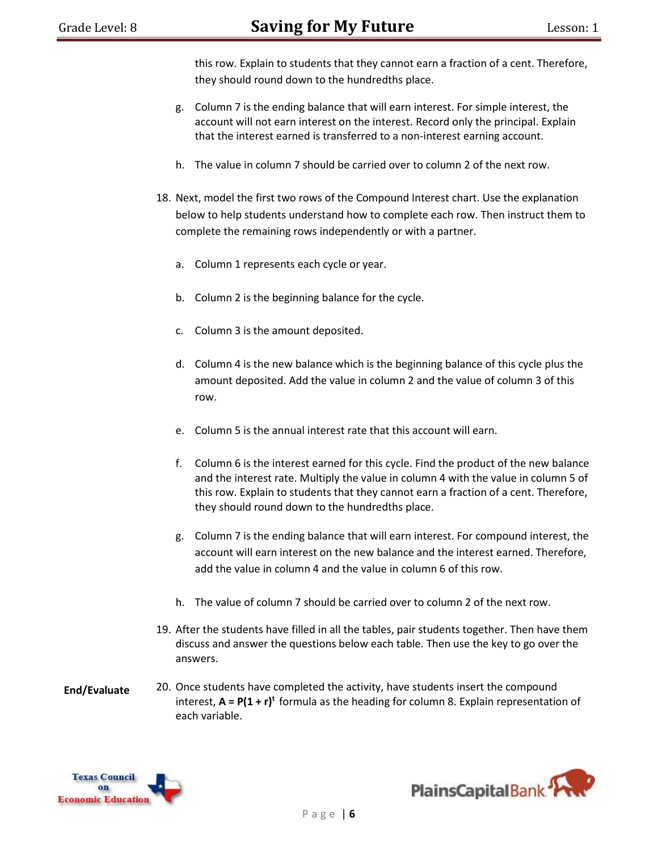this row. Explain to students that they cannot earn a fraction of a cent. Therefore, they should round down to the hundredths place.

- g. Column 7 is the ending balance that will earn interest. For simple interest, the account will not earn interest on the interest. Record only the principal. Explain that the interest earned is transferred to a non-interest earning account.
- h. The value in column 7 should be carried over to column 2 of the next row.
- 18. Next, model the first two rows of the Compound Interest chart. Use the explanation below to help students understand how to complete each row. Then instruct them to complete the remaining rows independently or with a partner.
	- a. Column 1 represents each cycle or year.
	- b. Column 2 is the beginning balance for the cycle.
	- c. Column 3 is the amount deposited.
	- d. Column 4 is the new balance which is the beginning balance of this cycle plus the amount deposited. Add the value in column 2 and the value of column 3 of this row.
	- e. Column 5 is the annual interest rate that this account will earn.
	- f. Column 6 is the interest earned for this cycle. Find the product of the new balance and the interest rate. Multiply the value in column 4 with the value in column 5 of this row. Explain to students that they cannot earn a fraction of a cent. Therefore, they should round down to the hundredths place.
	- g. Column 7 is the ending balance that will earn interest. For compound interest, the account will earn interest on the new balance and the interest earned. Therefore, add the value in column 4 and the value in column 6 of this row.
	- h. The value of column 7 should be carried over to column 2 of the next row.
- 19. After the students have filled in all the tables, pair students together. Then have them discuss and answer the questions below each table. Then use the key to go over the answers.
- **End/Evaluate** 20. Once students have completed the activity, have students insert the compound interest, **A = P(1 + r)<sup>t</sup>** formula as the heading for column 8. Explain representation of each variable.



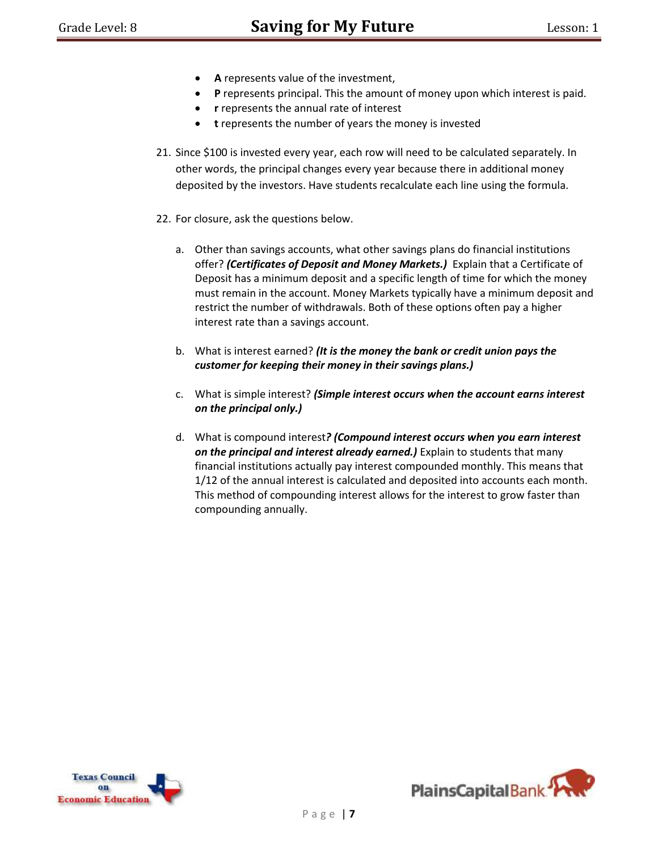- **A** represents value of the investment,
- **P** represents principal. This the amount of money upon which interest is paid.
- **r** represents the annual rate of interest
- **t** represents the number of years the money is invested
- 21. Since \$100 is invested every year, each row will need to be calculated separately. In other words, the principal changes every year because there in additional money deposited by the investors. Have students recalculate each line using the formula.
- 22. For closure, ask the questions below.
	- a. Other than savings accounts, what other savings plans do financial institutions offer? *(Certificates of Deposit and Money Markets.)* Explain that a Certificate of Deposit has a minimum deposit and a specific length of time for which the money must remain in the account. Money Markets typically have a minimum deposit and restrict the number of withdrawals. Both of these options often pay a higher interest rate than a savings account.
	- b. What is interest earned? *(It is the money the bank or credit union pays the customer for keeping their money in their savings plans.)*
	- c. What is simple interest? *(Simple interest occurs when the account earns interest on the principal only.)*
	- d. What is compound interest*? (Compound interest occurs when you earn interest on the principal and interest already earned.)* Explain to students that many financial institutions actually pay interest compounded monthly. This means that 1/12 of the annual interest is calculated and deposited into accounts each month. This method of compounding interest allows for the interest to grow faster than compounding annually.



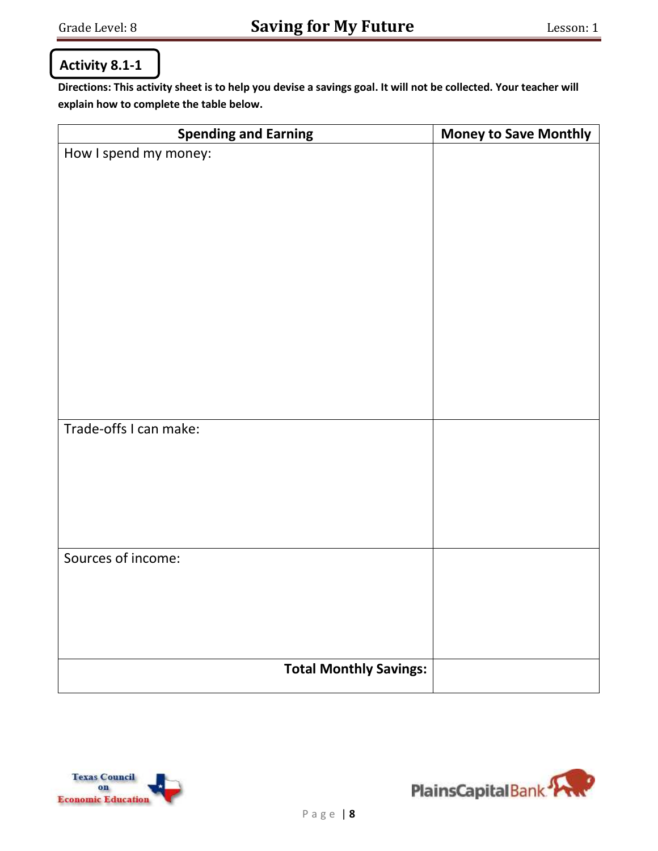# **Activity 8.1-1**

**Directions: This activity sheet is to help you devise a savings goal. It will not be collected. Your teacher will explain how to complete the table below.**

| <b>Spending and Earning</b>   | <b>Money to Save Monthly</b> |
|-------------------------------|------------------------------|
| How I spend my money:         |                              |
|                               |                              |
|                               |                              |
|                               |                              |
|                               |                              |
|                               |                              |
|                               |                              |
|                               |                              |
|                               |                              |
|                               |                              |
|                               |                              |
|                               |                              |
|                               |                              |
| Trade-offs I can make:        |                              |
|                               |                              |
|                               |                              |
|                               |                              |
|                               |                              |
|                               |                              |
| Sources of income:            |                              |
|                               |                              |
|                               |                              |
|                               |                              |
|                               |                              |
|                               |                              |
| <b>Total Monthly Savings:</b> |                              |



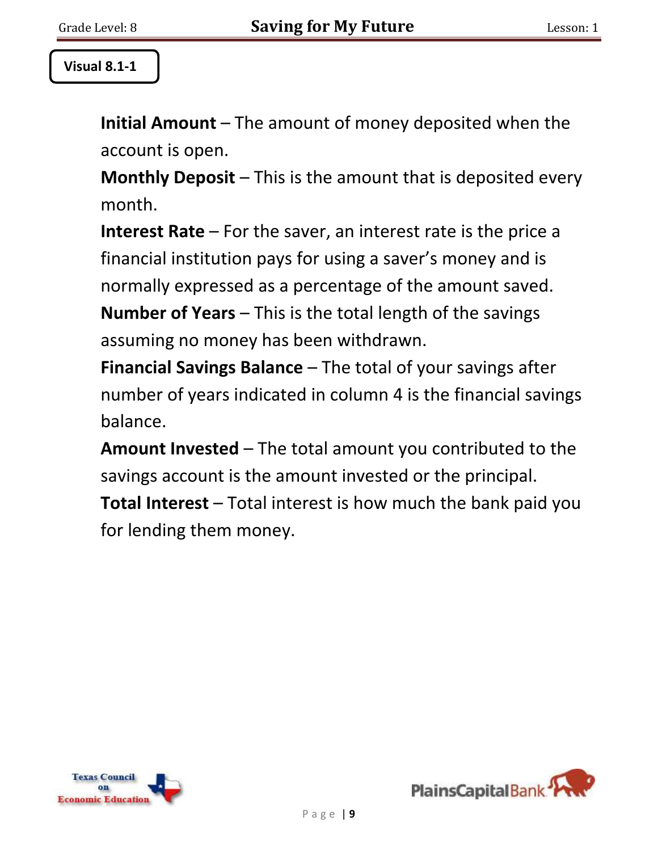# **Visual 8.1-1**

**Initial Amount** – The amount of money deposited when the account is open.

**Monthly Deposit** – This is the amount that is deposited every month.

**Interest Rate** – For the saver, an interest rate is the price a financial institution pays for using a saver's money and is normally expressed as a percentage of the amount saved.

**Number of Years** – This is the total length of the savings assuming no money has been withdrawn.

**Financial Savings Balance** – The total of your savings after number of years indicated in column 4 is the financial savings balance.

**Amount Invested** – The total amount you contributed to the savings account is the amount invested or the principal.

**Total Interest** – Total interest is how much the bank paid you for lending them money.



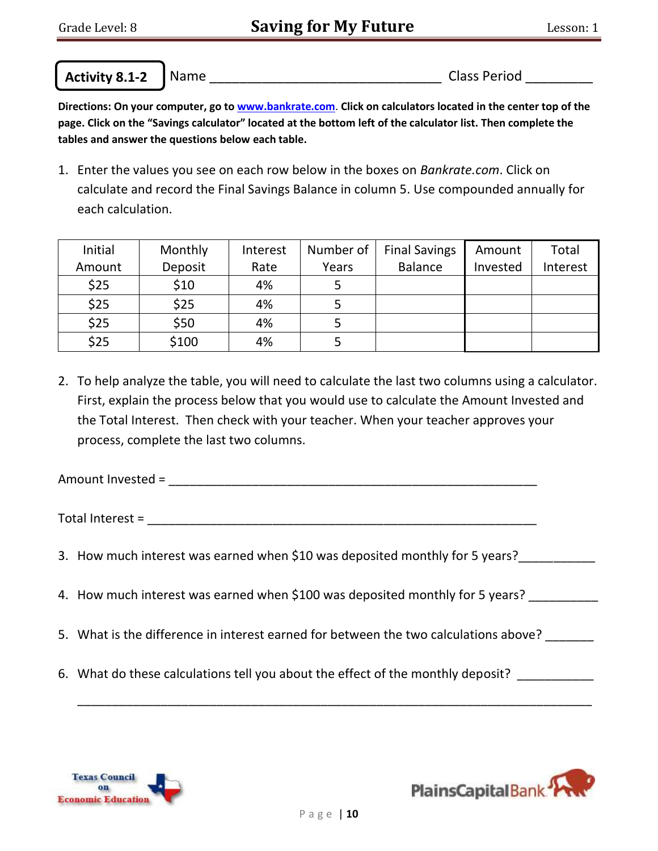**Activity 8.1-2**

 $\overline{a}$ 

Name \_\_\_\_\_\_\_\_\_\_\_\_\_\_\_\_\_\_\_\_\_\_\_\_\_\_\_\_\_\_\_ Class Period \_\_\_\_\_\_\_\_\_

**Directions: On your computer, go to www.bankrate.com**. **Click on calculators located in the center top of the page. Click on the "Savings calculator" located at the bottom left of the calculator list. Then complete the tables and answer the questions below each table.**

1. Enter the values you see on each row below in the boxes on *Bankrate.com*. Click on calculate and record the Final Savings Balance in column 5. Use compounded annually for each calculation.

| Initial | Monthly | Interest | Number of | <b>Final Savings</b> | Amount   | Total    |
|---------|---------|----------|-----------|----------------------|----------|----------|
| Amount  | Deposit | Rate     | Years     | <b>Balance</b>       | Invested | Interest |
| \$25    | \$10    | 4%       |           |                      |          |          |
| \$25    | \$25    | 4%       |           |                      |          |          |
| \$25    | \$50    | 4%       |           |                      |          |          |
| \$25    | \$100   | 4%       |           |                      |          |          |

2. To help analyze the table, you will need to calculate the last two columns using a calculator. First, explain the process below that you would use to calculate the Amount Invested and the Total Interest. Then check with your teacher. When your teacher approves your process, complete the last two columns.

Amount Invested = \_\_\_\_\_\_\_\_\_\_\_\_\_\_\_\_\_\_\_\_\_\_\_\_\_\_\_\_\_\_\_\_\_\_\_\_\_\_\_\_\_\_\_\_\_\_\_\_\_\_\_\_\_

Total Interest = \_\_\_\_\_\_\_\_\_\_\_\_\_\_\_\_\_\_\_\_\_\_\_\_\_\_\_\_\_\_\_\_\_\_\_\_\_\_\_\_\_\_\_\_\_\_\_\_\_\_\_\_\_\_\_\_

- 3. How much interest was earned when \$10 was deposited monthly for 5 years?
- 4. How much interest was earned when \$100 was deposited monthly for 5 years?
- 5. What is the difference in interest earned for between the two calculations above?
- 6. What do these calculations tell you about the effect of the monthly deposit?





\_\_\_\_\_\_\_\_\_\_\_\_\_\_\_\_\_\_\_\_\_\_\_\_\_\_\_\_\_\_\_\_\_\_\_\_\_\_\_\_\_\_\_\_\_\_\_\_\_\_\_\_\_\_\_\_\_\_\_\_\_\_\_\_\_\_\_\_\_\_\_\_\_\_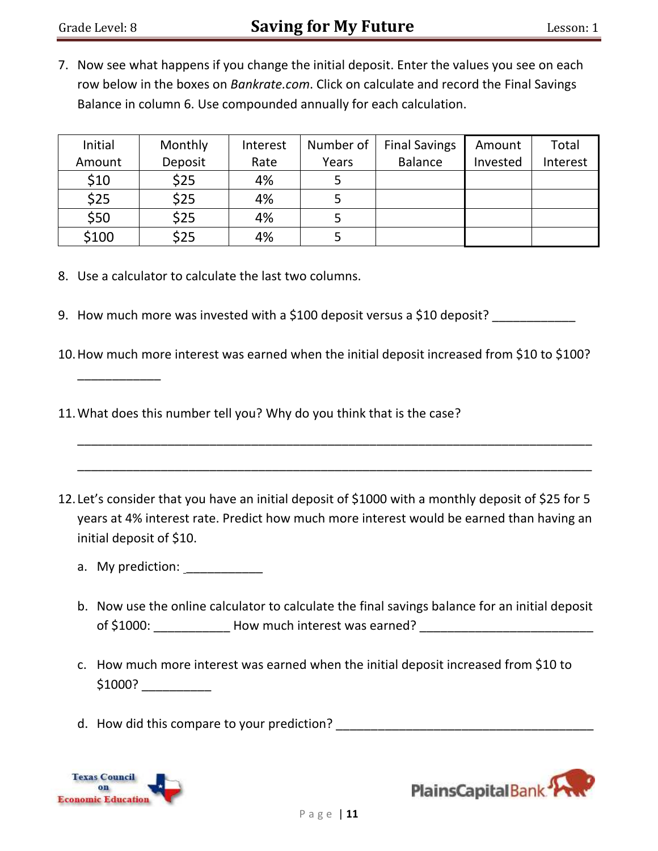7. Now see what happens if you change the initial deposit. Enter the values you see on each row below in the boxes on *Bankrate.com*. Click on calculate and record the Final Savings Balance in column 6. Use compounded annually for each calculation.

| Initial | Monthly | Interest | Number of | <b>Final Savings</b> | Amount   | Total    |
|---------|---------|----------|-----------|----------------------|----------|----------|
| Amount  | Deposit | Rate     | Years     | <b>Balance</b>       | Invested | Interest |
| \$10    | \$25    | 4%       |           |                      |          |          |
| \$25    | \$25    | 4%       |           |                      |          |          |
| \$50    | \$25    | 4%       |           |                      |          |          |
| \$100   | \$25    | 4%       |           |                      |          |          |

- 8. Use a calculator to calculate the last two columns.
- 9. How much more was invested with a \$100 deposit versus a \$10 deposit?
- 10.How much more interest was earned when the initial deposit increased from \$10 to \$100?
- 11.What does this number tell you? Why do you think that is the case?
- 12. Let's consider that you have an initial deposit of \$1000 with a monthly deposit of \$25 for 5 years at 4% interest rate. Predict how much more interest would be earned than having an initial deposit of \$10.

\_\_\_\_\_\_\_\_\_\_\_\_\_\_\_\_\_\_\_\_\_\_\_\_\_\_\_\_\_\_\_\_\_\_\_\_\_\_\_\_\_\_\_\_\_\_\_\_\_\_\_\_\_\_\_\_\_\_\_\_\_\_\_\_\_\_\_\_\_\_\_\_\_\_

\_\_\_\_\_\_\_\_\_\_\_\_\_\_\_\_\_\_\_\_\_\_\_\_\_\_\_\_\_\_\_\_\_\_\_\_\_\_\_\_\_\_\_\_\_\_\_\_\_\_\_\_\_\_\_\_\_\_\_\_\_\_\_\_\_\_\_\_\_\_\_\_\_\_

- a. My prediction:
- b. Now use the online calculator to calculate the final savings balance for an initial deposit of \$1000: How much interest was earned?
- c. How much more interest was earned when the initial deposit increased from \$10 to  $$1000?$
- d. How did this compare to your prediction?



\_\_\_\_\_\_\_\_\_\_\_\_

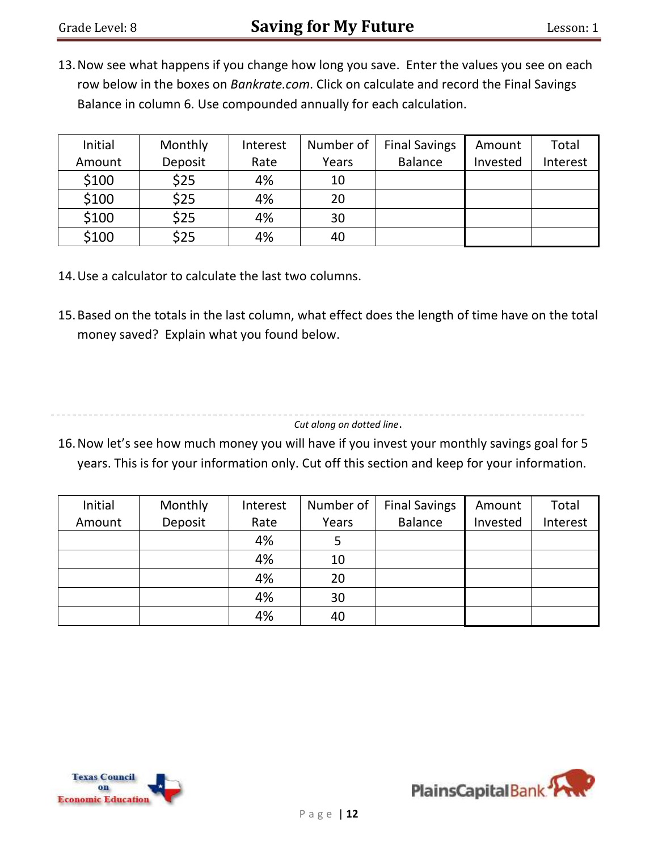13.Now see what happens if you change how long you save. Enter the values you see on each row below in the boxes on *Bankrate.com*. Click on calculate and record the Final Savings Balance in column 6. Use compounded annually for each calculation.

| Initial | Monthly | Interest | Number of | <b>Final Savings</b> | Amount   | Total    |
|---------|---------|----------|-----------|----------------------|----------|----------|
| Amount  | Deposit | Rate     | Years     | <b>Balance</b>       | Invested | Interest |
| \$100   | \$25    | 4%       | 10        |                      |          |          |
| \$100   | \$25    | 4%       | 20        |                      |          |          |
| \$100   | \$25    | 4%       | 30        |                      |          |          |
| \$100   | \$25    | 4%       | 40        |                      |          |          |

- 14.Use a calculator to calculate the last two columns.
- 15.Based on the totals in the last column, what effect does the length of time have on the total money saved? Explain what you found below.

------------------------------*Cut along on dotted line*.

16.Now let's see how much money you will have if you invest your monthly savings goal for 5 years. This is for your information only. Cut off this section and keep for your information.

| Initial | Monthly | Interest | Number of | <b>Final Savings</b> | Amount   | Total    |
|---------|---------|----------|-----------|----------------------|----------|----------|
| Amount  | Deposit | Rate     | Years     | <b>Balance</b>       | Invested | Interest |
|         |         | 4%       |           |                      |          |          |
|         |         | 4%       | 10        |                      |          |          |
|         |         | 4%       | 20        |                      |          |          |
|         |         | 4%       | 30        |                      |          |          |
|         |         | 4%       | 40        |                      |          |          |



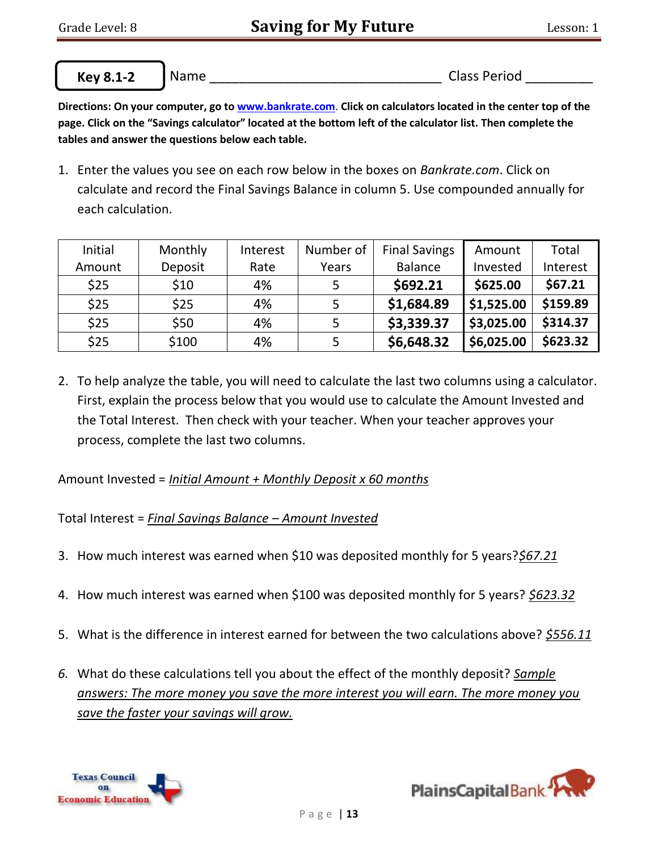**Key 8.1-2**

 $\overline{a}$ 

Name **Name Name Name Name Name Name Class Period Class Period** 

**Directions: On your computer, go to www.bankrate.com**. **Click on calculators located in the center top of the page. Click on the "Savings calculator" located at the bottom left of the calculator list. Then complete the tables and answer the questions below each table.**

1. Enter the values you see on each row below in the boxes on *Bankrate.com*. Click on calculate and record the Final Savings Balance in column 5. Use compounded annually for each calculation.

| Initial | Monthly | Interest | Number of | <b>Final Savings</b> | Amount     | Total    |
|---------|---------|----------|-----------|----------------------|------------|----------|
| Amount  | Deposit | Rate     | Years     | <b>Balance</b>       | Invested   | Interest |
| \$25    | \$10    | 4%       | 5         | \$692.21             | \$625.00   | \$67.21  |
| \$25    | \$25    | 4%       | 5         | \$1,684.89           | \$1,525.00 | \$159.89 |
| \$25    | \$50    | 4%       | 5         | \$3,339.37           | \$3,025.00 | \$314.37 |
| \$25    | \$100   | 4%       |           | \$6,648.32           | \$6,025.00 | \$623.32 |

2. To help analyze the table, you will need to calculate the last two columns using a calculator. First, explain the process below that you would use to calculate the Amount Invested and the Total Interest. Then check with your teacher. When your teacher approves your process, complete the last two columns.

Amount Invested = *Initial Amount + Monthly Deposit x 60 months*

Total Interest = *Final Savings Balance – Amount Invested*

- 3. How much interest was earned when \$10 was deposited monthly for 5 years?*\$67.21*
- 4. How much interest was earned when \$100 was deposited monthly for 5 years? *\$623.32*
- 5. What is the difference in interest earned for between the two calculations above? *\$556.11*
- *6.* What do these calculations tell you about the effect of the monthly deposit? *Sample answers: The more money you save the more interest you will earn. The more money you save the faster your savings will grow.*



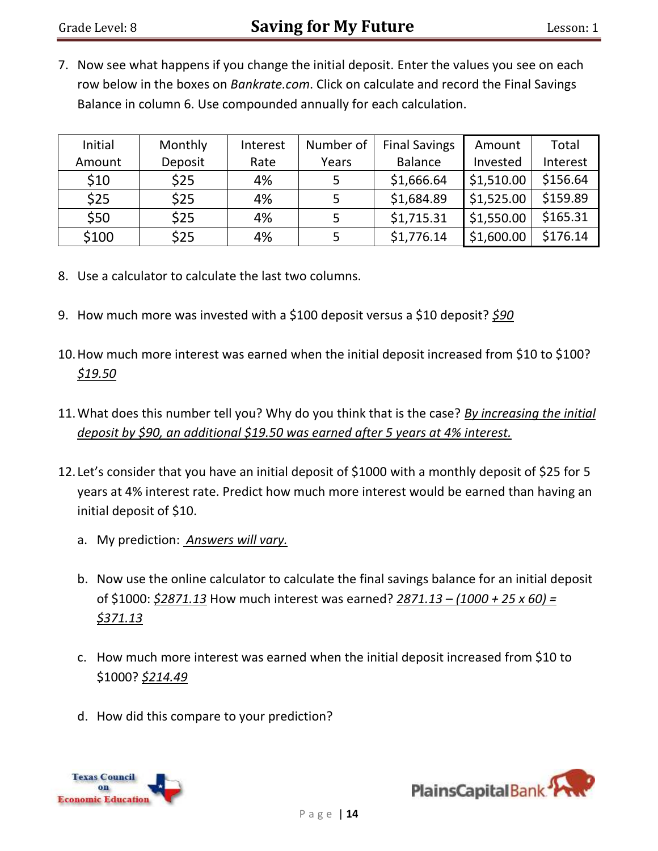7. Now see what happens if you change the initial deposit. Enter the values you see on each row below in the boxes on *Bankrate.com*. Click on calculate and record the Final Savings Balance in column 6. Use compounded annually for each calculation.

| Initial | Monthly | Interest | Number of | <b>Final Savings</b> | Amount     | Total    |
|---------|---------|----------|-----------|----------------------|------------|----------|
| Amount  | Deposit | Rate     | Years     | <b>Balance</b>       | Invested   | Interest |
| \$10    | \$25    | 4%       |           | \$1,666.64           | \$1,510.00 | \$156.64 |
| \$25    | \$25    | 4%       |           | \$1,684.89           | \$1,525.00 | \$159.89 |
| \$50    | \$25    | 4%       |           | \$1,715.31           | \$1,550.00 | \$165.31 |
| \$100   | \$25    | 4%       |           | \$1,776.14           | \$1,600.00 | \$176.14 |

- 8. Use a calculator to calculate the last two columns.
- 9. How much more was invested with a \$100 deposit versus a \$10 deposit? *\$90*
- 10.How much more interest was earned when the initial deposit increased from \$10 to \$100? *\$19.50*
- 11.What does this number tell you? Why do you think that is the case? *By increasing the initial deposit by \$90, an additional \$19.50 was earned after 5 years at 4% interest.*
- 12. Let's consider that you have an initial deposit of \$1000 with a monthly deposit of \$25 for 5 years at 4% interest rate. Predict how much more interest would be earned than having an initial deposit of \$10.
	- a. My prediction: *Answers will vary.*
	- b. Now use the online calculator to calculate the final savings balance for an initial deposit of \$1000: *\$2871.13* How much interest was earned? *2871.13 – (1000 + 25 x 60) = \$371.13*
	- c. How much more interest was earned when the initial deposit increased from \$10 to \$1000? *\$214.49*
	- d. How did this compare to your prediction?



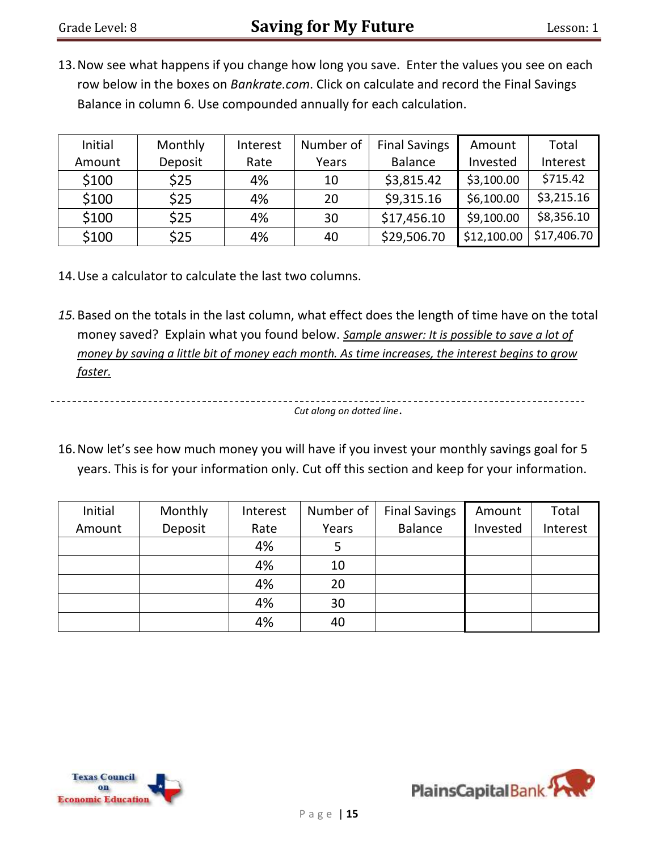13.Now see what happens if you change how long you save. Enter the values you see on each row below in the boxes on *Bankrate.com*. Click on calculate and record the Final Savings Balance in column 6. Use compounded annually for each calculation.

| Initial | Monthly | Interest | Number of | <b>Final Savings</b> | Amount      | Total       |
|---------|---------|----------|-----------|----------------------|-------------|-------------|
| Amount  | Deposit | Rate     | Years     | <b>Balance</b>       | Invested    | Interest    |
| \$100   | \$25    | 4%       | 10        | \$3,815.42           | \$3,100.00  | \$715.42    |
| \$100   | \$25    | 4%       | 20        | \$9,315.16           | \$6,100.00  | \$3,215.16  |
| \$100   | \$25    | 4%       | 30        | \$17,456.10          | \$9,100.00  | \$8,356.10  |
| \$100   | \$25    | 4%       | 40        | \$29,506.70          | \$12,100.00 | \$17,406.70 |

- 14.Use a calculator to calculate the last two columns.
- *15.*Based on the totals in the last column, what effect does the length of time have on the total money saved? Explain what you found below. *Sample answer: It is possible to save a lot of money by saving a little bit of money each month. As time increases, the interest begins to grow faster.*

*Cut along on dotted line*.

16.Now let's see how much money you will have if you invest your monthly savings goal for 5 years. This is for your information only. Cut off this section and keep for your information.

| Initial | Monthly | Interest | Number of | <b>Final Savings</b> | Amount   | Total    |
|---------|---------|----------|-----------|----------------------|----------|----------|
| Amount  | Deposit | Rate     | Years     | <b>Balance</b>       | Invested | Interest |
|         |         | 4%       | 5         |                      |          |          |
|         |         | 4%       | 10        |                      |          |          |
|         |         | 4%       | 20        |                      |          |          |
|         |         | 4%       | 30        |                      |          |          |
|         |         | 4%       | 40        |                      |          |          |



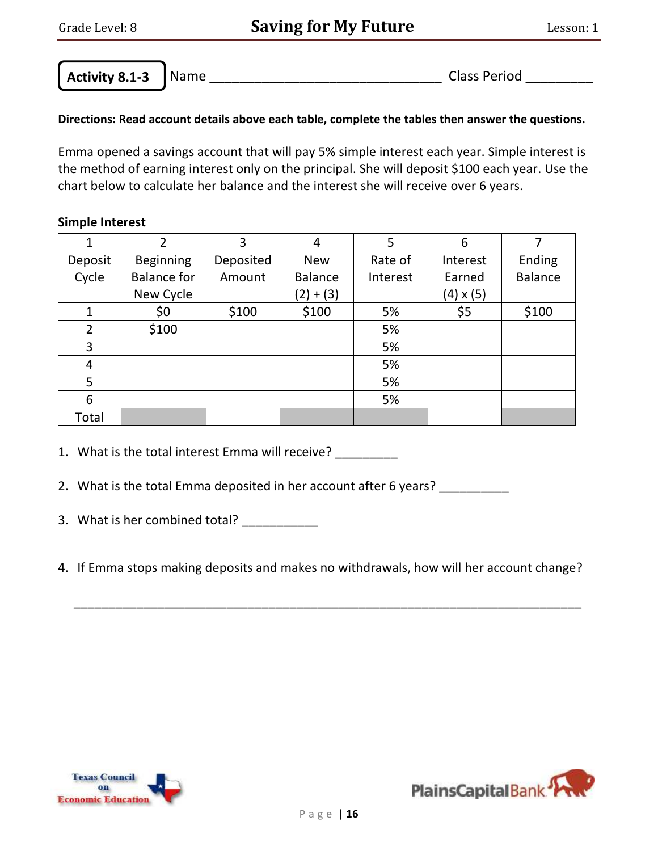**Activity 8.1-3**

 $\overline{a}$ 

Name \_\_\_\_\_\_\_\_\_\_\_\_\_\_\_\_\_\_\_\_\_\_\_\_\_\_\_\_\_\_\_ Class Period \_\_\_\_\_\_\_\_\_

# **Directions: Read account details above each table, complete the tables then answer the questions.**

Emma opened a savings account that will pay 5% simple interest each year. Simple interest is the method of earning interest only on the principal. She will deposit \$100 each year. Use the chart below to calculate her balance and the interest she will receive over 6 years.

## **Simple Interest**

| 1              | 2                  | 3         | 4              | 5        | 6                |                |
|----------------|--------------------|-----------|----------------|----------|------------------|----------------|
| Deposit        | <b>Beginning</b>   | Deposited | <b>New</b>     | Rate of  | Interest         | Ending         |
| Cycle          | <b>Balance for</b> | Amount    | <b>Balance</b> | Interest | Earned           | <b>Balance</b> |
|                | New Cycle          |           | $(2) + (3)$    |          | $(4) \times (5)$ |                |
| 1              | \$0                | \$100     | \$100          | 5%       | \$5              | \$100          |
| $\overline{2}$ | \$100              |           |                | 5%       |                  |                |
| 3              |                    |           |                | 5%       |                  |                |
| 4              |                    |           |                | 5%       |                  |                |
| 5              |                    |           |                | 5%       |                  |                |
| 6              |                    |           |                | 5%       |                  |                |
| Total          |                    |           |                |          |                  |                |

1. What is the total interest Emma will receive?

- 2. What is the total Emma deposited in her account after 6 years? \_\_\_\_\_\_\_\_\_\_\_
- 3. What is her combined total?
- 4. If Emma stops making deposits and makes no withdrawals, how will her account change?

\_\_\_\_\_\_\_\_\_\_\_\_\_\_\_\_\_\_\_\_\_\_\_\_\_\_\_\_\_\_\_\_\_\_\_\_\_\_\_\_\_\_\_\_\_\_\_\_\_\_\_\_\_\_\_\_\_\_\_\_\_\_\_\_\_\_\_\_\_\_\_\_\_



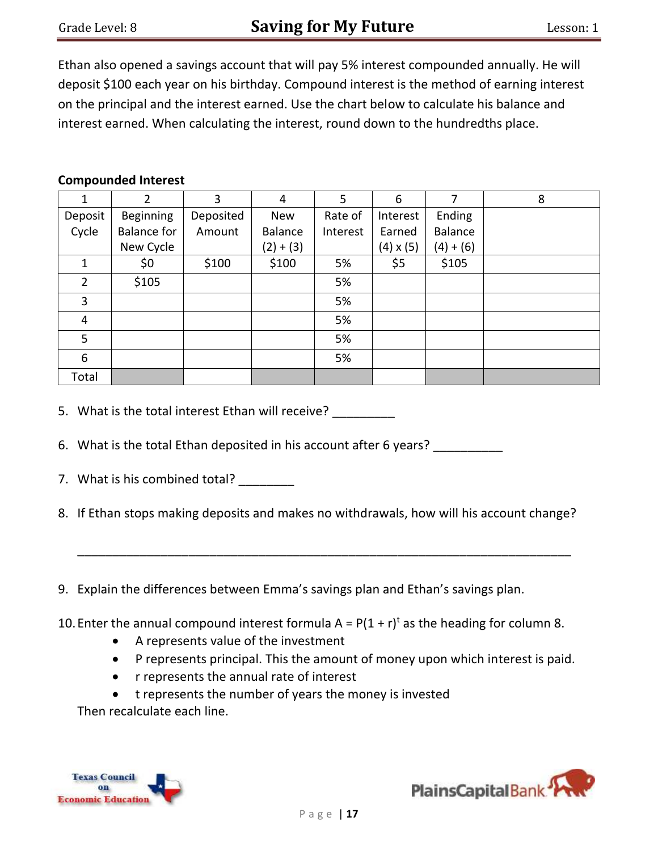Ethan also opened a savings account that will pay 5% interest compounded annually. He will deposit \$100 each year on his birthday. Compound interest is the method of earning interest on the principal and the interest earned. Use the chart below to calculate his balance and interest earned. When calculating the interest, round down to the hundredths place.

#### **Compounded Interest**

|                | 2                  | 3         | 4           | 5        | 6                | 7         | 8 |
|----------------|--------------------|-----------|-------------|----------|------------------|-----------|---|
| Deposit        | <b>Beginning</b>   | Deposited | <b>New</b>  | Rate of  | Interest         | Ending    |   |
| Cycle          | <b>Balance for</b> | Amount    | Balance     | Interest | Earned           | Balance   |   |
|                | New Cycle          |           | $(2) + (3)$ |          | $(4) \times (5)$ | $(4)+(6)$ |   |
|                | \$0                | \$100     | \$100       | 5%       | \$5              | \$105     |   |
| $\overline{2}$ | \$105              |           |             | 5%       |                  |           |   |
| 3              |                    |           |             | 5%       |                  |           |   |
| 4              |                    |           |             | 5%       |                  |           |   |
| 5              |                    |           |             | 5%       |                  |           |   |
| 6              |                    |           |             | 5%       |                  |           |   |
| Total          |                    |           |             |          |                  |           |   |

5. What is the total interest Ethan will receive?

- 6. What is the total Ethan deposited in his account after 6 years?
- 7. What is his combined total?
- 8. If Ethan stops making deposits and makes no withdrawals, how will his account change?

\_\_\_\_\_\_\_\_\_\_\_\_\_\_\_\_\_\_\_\_\_\_\_\_\_\_\_\_\_\_\_\_\_\_\_\_\_\_\_\_\_\_\_\_\_\_\_\_\_\_\_\_\_\_\_\_\_\_\_\_\_\_\_\_\_\_\_\_\_\_\_

- 9. Explain the differences between Emma's savings plan and Ethan's savings plan.
- 10. Enter the annual compound interest formula  $A = P(1 + r)^t$  as the heading for column 8.
	- A represents value of the investment
	- P represents principal. This the amount of money upon which interest is paid.
	- r represents the annual rate of interest
	- t represents the number of years the money is invested

Then recalculate each line.



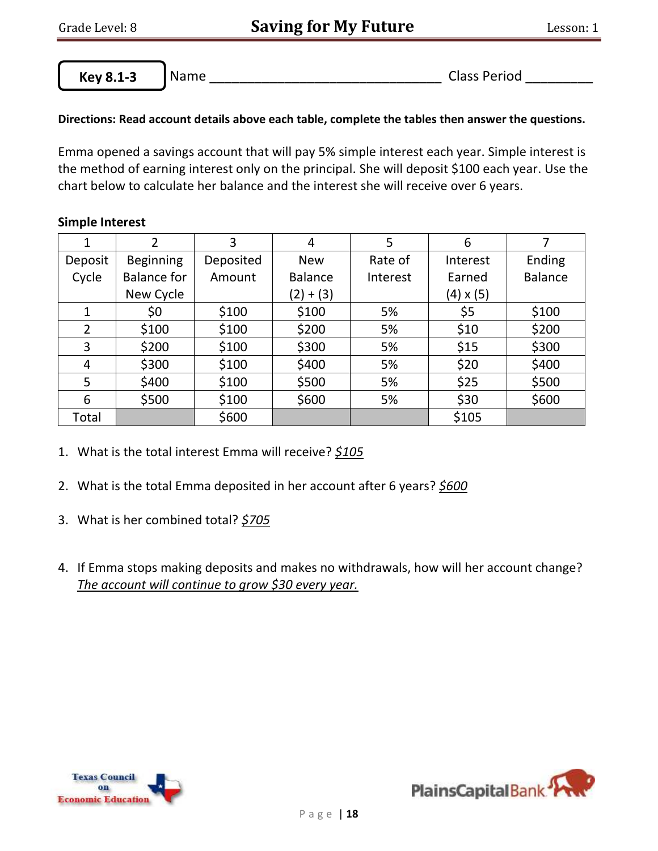**Key 8.1-3**

 $\overline{a}$ 

Name \_\_\_\_\_\_\_\_\_\_\_\_\_\_\_\_\_\_\_\_\_\_\_\_\_\_\_\_\_\_\_ Class Period \_\_\_\_\_\_\_\_\_

# **Directions: Read account details above each table, complete the tables then answer the questions.**

Emma opened a savings account that will pay 5% simple interest each year. Simple interest is the method of earning interest only on the principal. She will deposit \$100 each year. Use the chart below to calculate her balance and the interest she will receive over 6 years.

## **Simple Interest**

| 1       | $\overline{2}$     | 3         | 4              | 5        | 6                |                |
|---------|--------------------|-----------|----------------|----------|------------------|----------------|
| Deposit | <b>Beginning</b>   | Deposited | <b>New</b>     | Rate of  | Interest         | Ending         |
| Cycle   | <b>Balance for</b> | Amount    | <b>Balance</b> | Interest |                  | <b>Balance</b> |
|         | New Cycle          |           | $(2)+(3)$      |          | $(4) \times (5)$ |                |
|         | \$0                | \$100     | \$100          | 5%       | \$5              | \$100          |
| 2       | \$100              | \$100     | \$200          | 5%       | \$10             | \$200          |
| 3       | \$200              | \$100     | \$300          | 5%       | \$15             | \$300          |
| 4       | \$300              | \$100     | \$400          | 5%       | \$20             | \$400          |
| 5       | \$400              | \$100     | \$500          | 5%       | \$25             | \$500          |
| 6       | \$500              | \$100     | \$600          | 5%       | \$30             | \$600          |
| Total   |                    | \$600     |                |          | \$105            |                |

- 1. What is the total interest Emma will receive? *\$105*
- 2. What is the total Emma deposited in her account after 6 years? *\$600*
- 3. What is her combined total? *\$705*
- 4. If Emma stops making deposits and makes no withdrawals, how will her account change? *The account will continue to grow \$30 every year.*